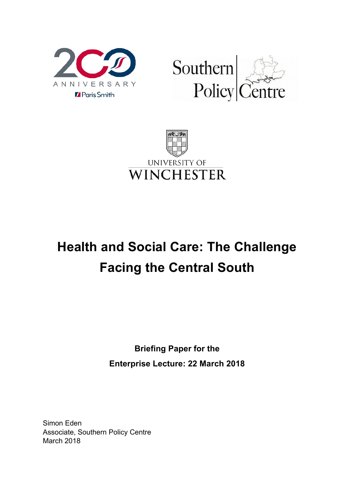





# **Health and Social Care: The Challenge Facing the Central South**

**Briefing Paper for the Enterprise Lecture: 22 March 2018**

Simon Eden Associate, Southern Policy Centre March 2018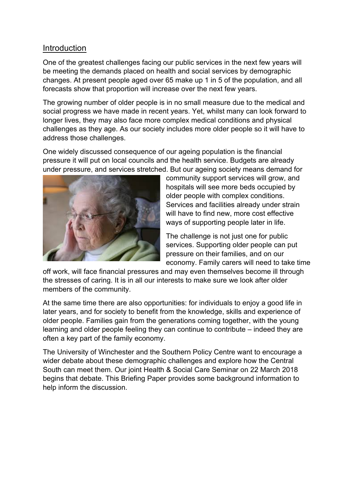## Introduction

One of the greatest challenges facing our public services in the next few years will be meeting the demands placed on health and social services by demographic changes. At present people aged over 65 make up 1 in 5 of the population, and all forecasts show that proportion will increase over the next few years.

The growing number of older people is in no small measure due to the medical and social progress we have made in recent years. Yet, whilst many can look forward to longer lives, they may also face more complex medical conditions and physical challenges as they age. As our society includes more older people so it will have to address those challenges.

One widely discussed consequence of our ageing population is the financial pressure it will put on local councils and the health service. Budgets are already under pressure, and services stretched. But our ageing society means demand for



community support services will grow, and hospitals will see more beds occupied by older people with complex conditions. Services and facilities already under strain will have to find new, more cost effective ways of supporting people later in life.

The challenge is not just one for public services. Supporting older people can put pressure on their families, and on our economy. Family carers will need to take time

off work, will face financial pressures and may even themselves become ill through the stresses of caring. It is in all our interests to make sure we look after older members of the community.

At the same time there are also opportunities: for individuals to enjoy a good life in later years, and for society to benefit from the knowledge, skills and experience of older people. Families gain from the generations coming together, with the young learning and older people feeling they can continue to contribute – indeed they are often a key part of the family economy.

The University of Winchester and the Southern Policy Centre want to encourage a wider debate about these demographic challenges and explore how the Central South can meet them. Our joint Health & Social Care Seminar on 22 March 2018 begins that debate. This Briefing Paper provides some background information to help inform the discussion.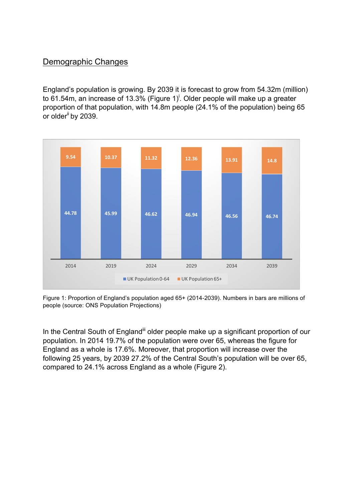## Demographic Changes

England's population is growing. By 2039 it is forecast to grow from 54.32m (million) to 61.54m, an increase of 13.3% (Figure 1)<sup>i</sup>. Older people will make up a greater proportion of that population, with 14.8m people (24.1% of the population) being 65 or older<sup>ii</sup> by 2039.



Figure 1: Proportion of England's population aged 65+ (2014-2039). Numbers in bars are millions of people (source: ONS Population Projections)

In the Central South of England<sup>iii</sup> older people make up a significant proportion of our population. In 2014 19.7% of the population were over 65, whereas the figure for England as a whole is 17.6%. Moreover, that proportion will increase over the following 25 years, by 2039 27.2% of the Central South's population will be over 65, compared to 24.1% across England as a whole (Figure 2).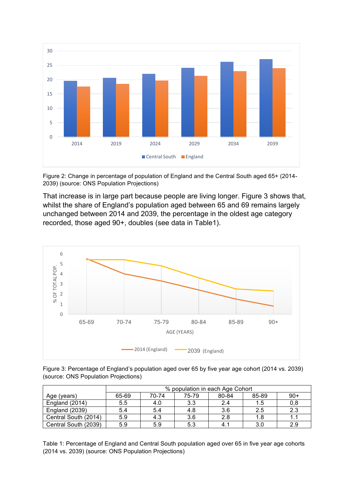

Figure 2: Change in percentage of population of England and the Central South aged 65+ (2014- 2039) (source: ONS Population Projections)

That increase is in large part because people are living longer. Figure 3 shows that, whilst the share of England's population aged between 65 and 69 remains largely unchanged between 2014 and 2039, the percentage in the oldest age category recorded, those aged 90+, doubles (see data in Table1).



Figure 3: Percentage of England's population aged over 65 by five year age cohort (2014 vs. 2039) (source: ONS Population Projections)

|                       | % population in each Age Cohort |       |       |       |       |       |
|-----------------------|---------------------------------|-------|-------|-------|-------|-------|
| Age (years)           | 65-69                           | 70-74 | 75-79 | 80-84 | 85-89 | $90+$ |
| England (2014)        | 5.5                             | 4.0   | 3.3   | 2.4   | 1.5   | 0,8   |
| <b>England (2039)</b> | 5.4                             | 5.4   | 4.8   | 3.6   | 2.5   | 2.3   |
| Central South (2014)  | 5.9                             | 4.3   | 3.6   | 2.8   | 1.8   | 1.1   |
| Central South (2039)  | 5.9                             | 5.9   | 5.3   |       | 3.0   | 2.9   |

Table 1: Percentage of England and Central South population aged over 65 in five year age cohorts (2014 vs. 2039) (source: ONS Population Projections)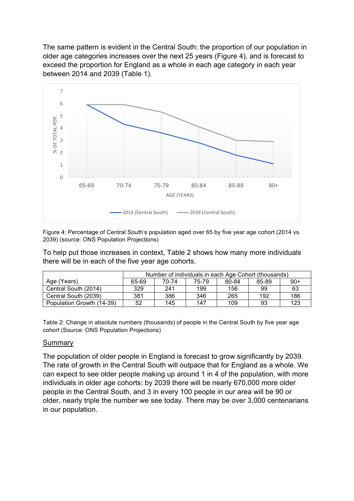The same pattern is evident in the Central South: the proportion of our population in older age categories increases over the next 25 years (Figure 4), and is forecast to exceed the proportion for England as a whole in each age category in each year between 2014 and 2039 (Table 1).



Figure 4: Percentage of Central South's population aged over 65 by five year age cohort (2014 vs. 2039) (source: ONS Population Projections)

To help put those increases in context, Table 2 shows how many more individuals there will be in each of the five year age cohorts.

|                           | Number of individuals in each Age Cohort (thousands) |       |       |       |       |       |
|---------------------------|------------------------------------------------------|-------|-------|-------|-------|-------|
| Age (Years)               | 65-69                                                | 70-74 | 75-79 | 80-84 | 85-89 | $90+$ |
| Central South (2014)      | 329                                                  | 241   | 199   | 156   | 99    | 63    |
| Central South (2039)      | 381                                                  | 386   | 346   | 265   | 192   | 186   |
| Population Growth (14-39) | 52                                                   | 145   | 147   | 109   | 93    | 123   |

Table 2: Change in absolute numbers (thousands) of people in the Central South by five year age cohort (Source: ONS Population Projections)

#### Summary

The population of older people in England is forecast to grow significantly by 2039. The rate of growth in the Central South will outpace that for England as a whole. We can expect to see older people making up around 1 in 4 of the population, with more individuals in older age cohorts: by 2039 there will be nearly 670,000 more older people in the Central South, and 3 in every 100 people in our area will be 90 or older, nearly triple the number we see today. There may be over 3,000 centenarians in our population.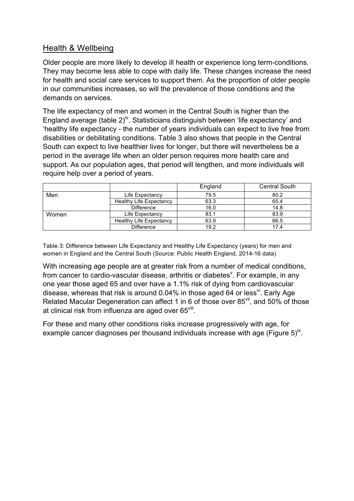## Health & Wellbeing

Older people are more likely to develop ill health or experience long term-conditions. They may become less able to cope with daily life. These changes increase the need for health and social care services to support them. As the proportion of older people in our communities increases, so will the prevalence of those conditions and the demands on services.

The life expectancy of men and women in the Central South is higher than the England average (table  $2)^{w}$ . Statisticians distinguish between 'life expectancy' and 'healthy life expectancy - the number of years individuals can expect to live free from disabilities or debilitating conditions. Table 3 also shows that people in the Central South can expect to live healthier lives for longer, but there will nevertheless be a period in the average life when an older person requires more health care and support. As our population ages, that period will lengthen, and more individuals will require help over a period of years.

|       |                                | England | <b>Central South</b> |  |
|-------|--------------------------------|---------|----------------------|--|
| Men   | Life Expectancy                | 79.5    | 80.2                 |  |
|       | <b>Healthy Life Expectancy</b> | 63.3    | 65.4                 |  |
|       | Difference                     | 16.0    | 14.8                 |  |
| Women | Life Expectancy                | 83.1    | 83.9                 |  |
|       | <b>Healthy Life Expectancy</b> | 63.9    | 66.5                 |  |
|       | <b>Difference</b>              | 19.2    | 17.4                 |  |

Table 3: Difference between Life Expectancy and Healthy Life Expectancy (years) for men and women in England and the Central South (Source: Public Health England, 2014-16 data)

With increasing age people are at greater risk from a number of medical conditions, from cancer to cardio-vascular disease, arthritis or diabetes<sup>v</sup>. For example, in any one year those aged 65 and over have a 1.1% risk of dying from cardiovascular disease, whereas that risk is around  $0.04\%$  in those aged 64 or less<sup>vi</sup>. Early Age Related Macular Degeneration can affect 1 in 6 of those over 85<sup>vii</sup>, and 50% of those at clinical risk from influenza are aged over 65viii.

For these and many other conditions risks increase progressively with age, for example cancer diagnoses per thousand individuals increase with age (Figure  $5)^{x}$ .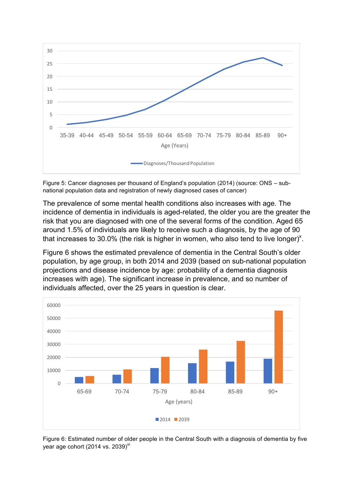

Figure 5: Cancer diagnoses per thousand of England's population (2014) (source: ONS – subnational population data and registration of newly diagnosed cases of cancer)

The prevalence of some mental health conditions also increases with age. The incidence of dementia in individuals is aged-related, the older you are the greater the risk that you are diagnosed with one of the several forms of the condition. Aged 65 around 1.5% of individuals are likely to receive such a diagnosis, by the age of 90 that increases to 30.0% (the risk is higher in women, who also tend to live longer)<sup>x</sup>.

Figure 6 shows the estimated prevalence of dementia in the Central South's older population, by age group, in both 2014 and 2039 (based on sub-national population projections and disease incidence by age: probability of a dementia diagnosis increases with age). The significant increase in prevalence, and so number of individuals affected, over the 25 years in question is clear.



Figure 6: Estimated number of older people in the Central South with a diagnosis of dementia by five year age cohort (2014 vs. 2039) $xi$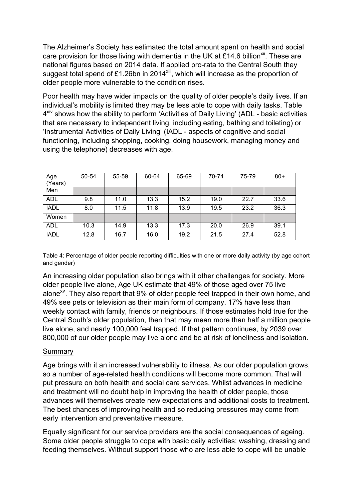The Alzheimer's Society has estimated the total amount spent on health and social care provision for those living with dementia in the UK at £14.6 billion<sup>xii</sup>. These are national figures based on 2014 data. If applied pro-rata to the Central South they suggest total spend of £1.26bn in 2014<sup>xiii</sup>, which will increase as the proportion of older people more vulnerable to the condition rises.

Poor health may have wider impacts on the quality of older people's daily lives. If an individual's mobility is limited they may be less able to cope with daily tasks. Table  $4^{xiv}$  shows how the ability to perform 'Activities of Daily Living' (ADL - basic activities that are necessary to independent living, including eating, bathing and toileting) or 'Instrumental Activities of Daily Living' (IADL - aspects of cognitive and social functioning, including shopping, cooking, doing housework, managing money and using the telephone) decreases with age.

| Age<br>(Years) | 50-54 | 55-59 | 60-64 | 65-69 | 70-74 | 75-79 | $80+$ |
|----------------|-------|-------|-------|-------|-------|-------|-------|
| Men            |       |       |       |       |       |       |       |
| <b>ADL</b>     | 9.8   | 11.0  | 13.3  | 15.2  | 19.0  | 22.7  | 33.6  |
| <b>IADL</b>    | 8.0   | 11.5  | 11.8  | 13.9  | 19.5  | 23.2  | 36.3  |
| Women          |       |       |       |       |       |       |       |
| <b>ADL</b>     | 10.3  | 14.9  | 13.3  | 17.3  | 20.0  | 26.9  | 39.1  |
| <b>IADL</b>    | 12.8  | 16.7  | 16.0  | 19.2  | 21.5  | 27.4  | 52.8  |

Table 4: Percentage of older people reporting difficulties with one or more daily activity (by age cohort and gender)

An increasing older population also brings with it other challenges for society. More older people live alone, Age UK estimate that 49% of those aged over 75 live alone<sup>xv</sup>. They also report that 9% of older people feel trapped in their own home, and 49% see pets or television as their main form of company. 17% have less than weekly contact with family, friends or neighbours. If those estimates hold true for the Central South's older population, then that may mean more than half a million people live alone, and nearly 100,000 feel trapped. If that pattern continues, by 2039 over 800,000 of our older people may live alone and be at risk of loneliness and isolation.

#### **Summary**

Age brings with it an increased vulnerability to illness. As our older population grows, so a number of age-related health conditions will become more common. That will put pressure on both health and social care services. Whilst advances in medicine and treatment will no doubt help in improving the health of older people, those advances will themselves create new expectations and additional costs to treatment. The best chances of improving health and so reducing pressures may come from early intervention and preventative measure.

Equally significant for our service providers are the social consequences of ageing. Some older people struggle to cope with basic daily activities: washing, dressing and feeding themselves. Without support those who are less able to cope will be unable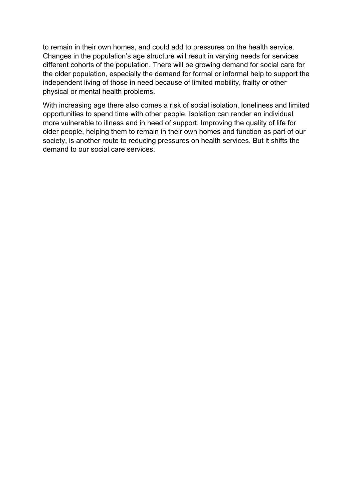to remain in their own homes, and could add to pressures on the health service. Changes in the population's age structure will result in varying needs for services different cohorts of the population. There will be growing demand for social care for the older population, especially the demand for formal or informal help to support the independent living of those in need because of limited mobility, frailty or other physical or mental health problems.

With increasing age there also comes a risk of social isolation, loneliness and limited opportunities to spend time with other people. Isolation can render an individual more vulnerable to illness and in need of support. Improving the quality of life for older people, helping them to remain in their own homes and function as part of our society, is another route to reducing pressures on health services. But it shifts the demand to our social care services.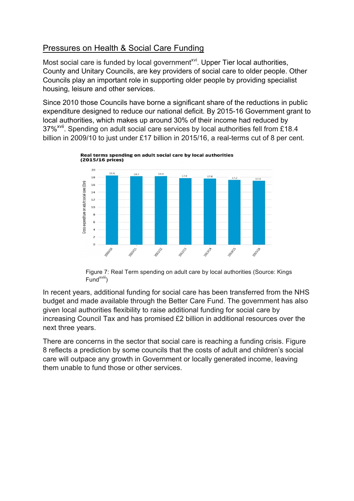# Pressures on Health & Social Care Funding

Most social care is funded by local government<sup> $xvi$ </sup>. Upper Tier local authorities, County and Unitary Councils, are key providers of social care to older people. Other Councils play an important role in supporting older people by providing specialist housing, leisure and other services.

Since 2010 those Councils have borne a significant share of the reductions in public expenditure designed to reduce our national deficit. By 2015-16 Government grant to local authorities, which makes up around 30% of their income had reduced by 37%<sup>xvii</sup>. Spending on adult social care services by local authorities fell from £18.4 billion in 2009/10 to just under £17 billion in 2015/16, a real-terms cut of 8 per cent.



Figure 7: Real Term spending on adult care by local authorities (Source: Kings  $Fund<sup>xviii</sup>$ )

In recent years, additional funding for social care has been transferred from the NHS budget and made available through the Better Care Fund. The government has also given local authorities flexibility to raise additional funding for social care by increasing Council Tax and has promised £2 billion in additional resources over the next three years.

There are concerns in the sector that social care is reaching a funding crisis. Figure 8 reflects a prediction by some councils that the costs of adult and children's social care will outpace any growth in Government or locally generated income, leaving them unable to fund those or other services.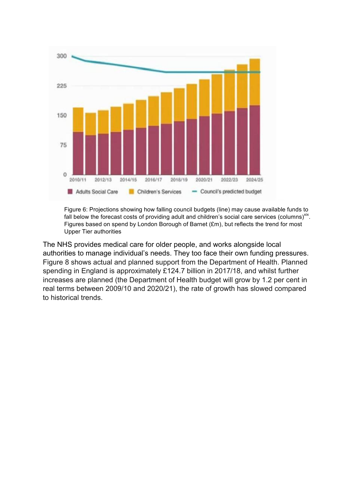

Figure 6: Projections showing how falling council budgets (line) may cause available funds to fall below the forecast costs of providing adult and children's social care services (columns)<sup>xix</sup>. Figures based on spend by London Borough of Barnet (£m), but reflects the trend for most Upper Tier authorities

The NHS provides medical care for older people, and works alongside local authorities to manage individual's needs. They too face their own funding pressures. Figure 8 shows actual and planned support from the Department of Health. Planned spending in England is approximately £124.7 billion in 2017/18, and whilst further increases are planned (the Department of Health budget will grow by 1.2 per cent in real terms between 2009/10 and 2020/21), the rate of growth has slowed compared to historical trends.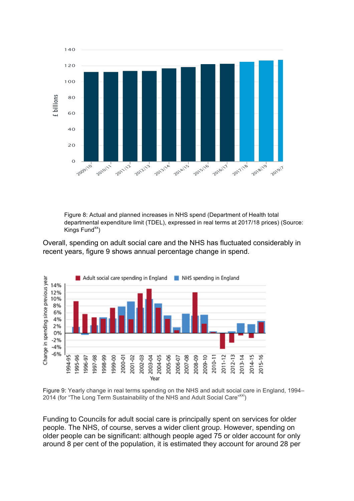

Figure 8: Actual and planned increases in NHS spend (Department of Health total departmental expenditure limit (TDEL), expressed in real terms at 2017/18 prices) (Source: Kings  $Fund^{xx}$ )

Overall, spending on adult social care and the NHS has fluctuated considerably in recent years, figure 9 shows annual percentage change in spend.



Figure 9: Yearly change in real terms spending on the NHS and adult social care in England, 1994– 2014 (for "The Long Term Sustainability of the NHS and Adult Social Care"xxl)

Funding to Councils for adult social care is principally spent on services for older people. The NHS, of course, serves a wider client group. However, spending on older people can be significant: although people aged 75 or older account for only around 8 per cent of the population, it is estimated they account for around 28 per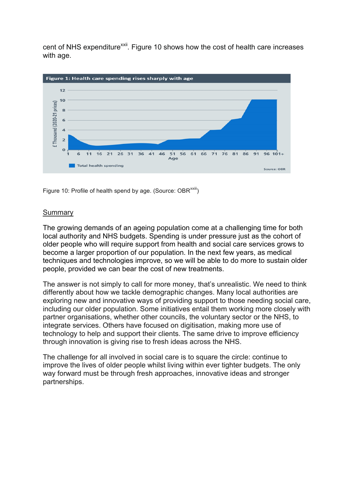cent of NHS expenditure<sup>xxii</sup>. Figure 10 shows how the cost of health care increases with age.



Figure 10: Profile of health spend by age. (Source: OBR<sup>xxiii</sup>)

#### **Summary**

The growing demands of an ageing population come at a challenging time for both local authority and NHS budgets. Spending is under pressure just as the cohort of older people who will require support from health and social care services grows to become a larger proportion of our population. In the next few years, as medical techniques and technologies improve, so we will be able to do more to sustain older people, provided we can bear the cost of new treatments.

The answer is not simply to call for more money, that's unrealistic. We need to think differently about how we tackle demographic changes. Many local authorities are exploring new and innovative ways of providing support to those needing social care, including our older population. Some initiatives entail them working more closely with partner organisations, whether other councils, the voluntary sector or the NHS, to integrate services. Others have focused on digitisation, making more use of technology to help and support their clients. The same drive to improve efficiency through innovation is giving rise to fresh ideas across the NHS.

The challenge for all involved in social care is to square the circle: continue to improve the lives of older people whilst living within ever tighter budgets. The only way forward must be through fresh approaches, innovative ideas and stronger partnerships.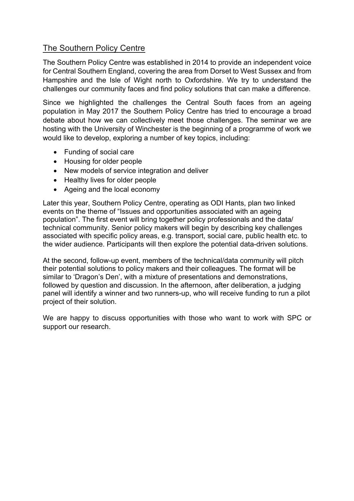## The Southern Policy Centre

The Southern Policy Centre was established in 2014 to provide an independent voice for Central Southern England, covering the area from Dorset to West Sussex and from Hampshire and the Isle of Wight north to Oxfordshire. We try to understand the challenges our community faces and find policy solutions that can make a difference.

Since we highlighted the challenges the Central South faces from an ageing population in May 2017 the Southern Policy Centre has tried to encourage a broad debate about how we can collectively meet those challenges. The seminar we are hosting with the University of Winchester is the beginning of a programme of work we would like to develop, exploring a number of key topics, including:

- Funding of social care
- Housing for older people
- New models of service integration and deliver
- Healthy lives for older people
- Ageing and the local economy

Later this year, Southern Policy Centre, operating as ODI Hants, plan two linked events on the theme of "Issues and opportunities associated with an ageing population". The first event will bring together policy professionals and the data/ technical community. Senior policy makers will begin by describing key challenges associated with specific policy areas, e.g. transport, social care, public health etc. to the wider audience. Participants will then explore the potential data-driven solutions.

At the second, follow-up event, members of the technical/data community will pitch their potential solutions to policy makers and their colleagues. The format will be similar to 'Dragon's Den', with a mixture of presentations and demonstrations, followed by question and discussion. In the afternoon, after deliberation, a judging panel will identify a winner and two runners-up, who will receive funding to run a pilot project of their solution.

We are happy to discuss opportunities with those who want to work with SPC or support our research.